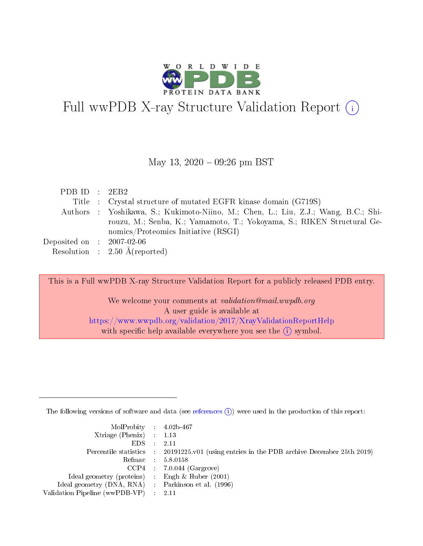

# Full wwPDB X-ray Structure Validation Report  $(i)$

#### May 13, 2020 - 09:26 pm BST

| PDBID : 2EB2                |                                                                                    |
|-----------------------------|------------------------------------------------------------------------------------|
|                             | Title : Crystal structure of mutated EGFR kinase domain (G719S)                    |
|                             | Authors : Yoshikawa, S.; Kukimoto-Niino, M.; Chen, L.; Liu, Z.J.; Wang, B.C.; Shi- |
|                             | rouzu, M.; Senba, K.; Yamamoto, T.; Yokoyama, S.; RIKEN Structural Ge-             |
|                             | nomics/Proteomics Initiative $(RSGI)$                                              |
| Deposited on : $2007-02-06$ |                                                                                    |
|                             | Resolution : $2.50 \text{ Å}$ (reported)                                           |
|                             |                                                                                    |

This is a Full wwPDB X-ray Structure Validation Report for a publicly released PDB entry.

We welcome your comments at validation@mail.wwpdb.org A user guide is available at <https://www.wwpdb.org/validation/2017/XrayValidationReportHelp> with specific help available everywhere you see the  $(i)$  symbol.

The following versions of software and data (see [references](https://www.wwpdb.org/validation/2017/XrayValidationReportHelp#references)  $(i)$ ) were used in the production of this report:

| $MolProbability$ 4.02b-467                          |                                                                                            |
|-----------------------------------------------------|--------------------------------------------------------------------------------------------|
| Xtriage (Phenix) $: 1.13$                           |                                                                                            |
| EDS -                                               | -2.11                                                                                      |
|                                                     | Percentile statistics : 20191225.v01 (using entries in the PDB archive December 25th 2019) |
|                                                     | Refmac 58.0158                                                                             |
|                                                     | $CCP4$ : 7.0.044 (Gargrove)                                                                |
| Ideal geometry (proteins) : Engh $\&$ Huber (2001)  |                                                                                            |
| Ideal geometry (DNA, RNA) : Parkinson et al. (1996) |                                                                                            |
| Validation Pipeline (wwPDB-VP) :                    | -2.11                                                                                      |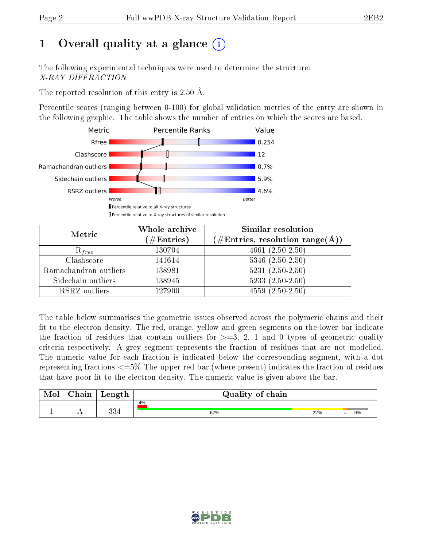## 1 [O](https://www.wwpdb.org/validation/2017/XrayValidationReportHelp#overall_quality)verall quality at a glance  $(i)$

The following experimental techniques were used to determine the structure: X-RAY DIFFRACTION

The reported resolution of this entry is 2.50 Å.

Percentile scores (ranging between 0-100) for global validation metrics of the entry are shown in the following graphic. The table shows the number of entries on which the scores are based.



| Metric                | Whole archive<br>$(\#\text{Entries})$ | Similar resolution<br>$(\#\text{Entries},\,\text{resolution}\,\,\text{range}(\textup{\AA}))$ |
|-----------------------|---------------------------------------|----------------------------------------------------------------------------------------------|
| $R_{free}$            | 130704                                | 4661 $(2.50-2.50)$                                                                           |
| Clashscore            | 141614                                | $5346$ $(2.50-2.50)$                                                                         |
| Ramachandran outliers | 138981                                | $\overline{5231}$ $(2.50-2.50)$                                                              |
| Sidechain outliers    | 138945                                | $5233(2.50-2.50)$                                                                            |
| RSRZ outliers         | 127900                                | $4559(2.50-2.50)$                                                                            |

The table below summarises the geometric issues observed across the polymeric chains and their fit to the electron density. The red, orange, yellow and green segments on the lower bar indicate the fraction of residues that contain outliers for  $>=3, 2, 1$  and 0 types of geometric quality criteria respectively. A grey segment represents the fraction of residues that are not modelled. The numeric value for each fraction is indicated below the corresponding segment, with a dot representing fractions <=5% The upper red bar (where present) indicates the fraction of residues that have poor fit to the electron density. The numeric value is given above the bar.

| Mol       | $\sim$ 1<br>hain | Length      | Quality of chain |     |  |    |
|-----------|------------------|-------------|------------------|-----|--|----|
| <u>д.</u> | . .              | 99 A<br>∪∪± | 4%<br>67%        | 22% |  | 9% |

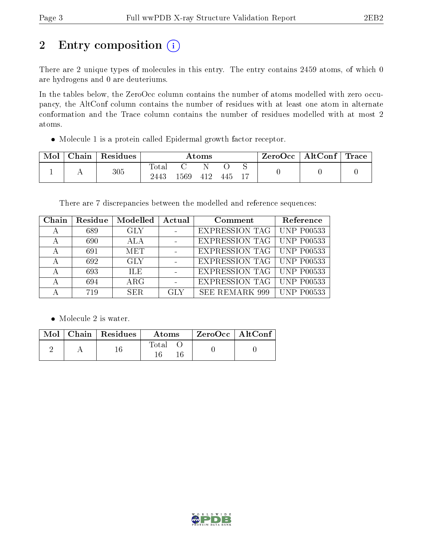# 2 Entry composition (i)

There are 2 unique types of molecules in this entry. The entry contains 2459 atoms, of which 0 are hydrogens and 0 are deuteriums.

In the tables below, the ZeroOcc column contains the number of atoms modelled with zero occupancy, the AltConf column contains the number of residues with at least one atom in alternate conformation and the Trace column contains the number of residues modelled with at most 2 atoms.

Molecule 1 is a protein called Epidermal growth factor receptor.

| Mol | Chain | Residues | $\rm{Atoms}$  |     |      |     | ZeroOcc | $\mid$ AltConf $\mid$ Trace |  |  |
|-----|-------|----------|---------------|-----|------|-----|---------|-----------------------------|--|--|
|     |       | $305\,$  | Total<br>2443 | 569 | -412 | 445 |         |                             |  |  |

There are 7 discrepancies between the modelled and reference sequences:

| Chain | Residue | Modelled   | Actual     | Comment                            | Reference         |
|-------|---------|------------|------------|------------------------------------|-------------------|
| А     | 689     | GLY.       |            | <b>EXPRESSION TAG   UNP P00533</b> |                   |
| А     | 690     | ALA        |            | <b>EXPRESSION TAG   UNP P00533</b> |                   |
| А     | 691     | <b>MET</b> |            | <b>EXPRESSION TAG   UNP P00533</b> |                   |
| А     | 692     | <b>GLY</b> |            | <b>EXPRESSION TAG   UNP P00533</b> |                   |
| А     | 693     | <b>ILE</b> |            | <b>EXPRESSION TAG</b>              | <b>UNP P00533</b> |
| А     | 694     | $\rm{ARG}$ |            | <b>EXPRESSION TAG</b>              | UNP P00533        |
|       | 719     | SER.       | <b>GLY</b> | SEE REMARK 999                     | <b>UNP P00533</b> |

• Molecule 2 is water.

|  | Mol   Chain   Residues | Atoms | ZeroOcc   AltConf |  |
|--|------------------------|-------|-------------------|--|
|  |                        | Total |                   |  |

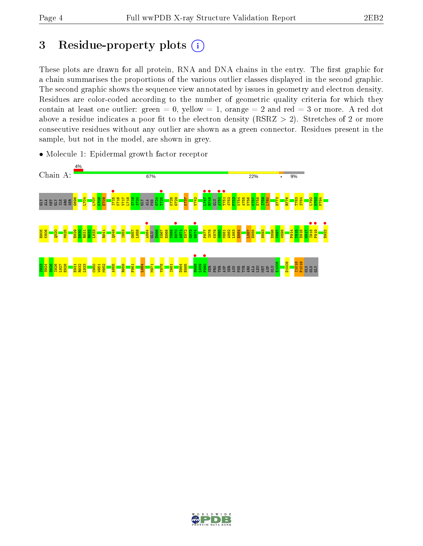## 3 Residue-property plots  $(i)$

These plots are drawn for all protein, RNA and DNA chains in the entry. The first graphic for a chain summarises the proportions of the various outlier classes displayed in the second graphic. The second graphic shows the sequence view annotated by issues in geometry and electron density. Residues are color-coded according to the number of geometric quality criteria for which they contain at least one outlier: green  $= 0$ , yellow  $= 1$ , orange  $= 2$  and red  $= 3$  or more. A red dot above a residue indicates a poor fit to the electron density (RSRZ  $> 2$ ). Stretches of 2 or more consecutive residues without any outlier are shown as a green connector. Residues present in the sample, but not in the model, are shown in grey.



• Molecule 1: Epidermal growth factor receptor

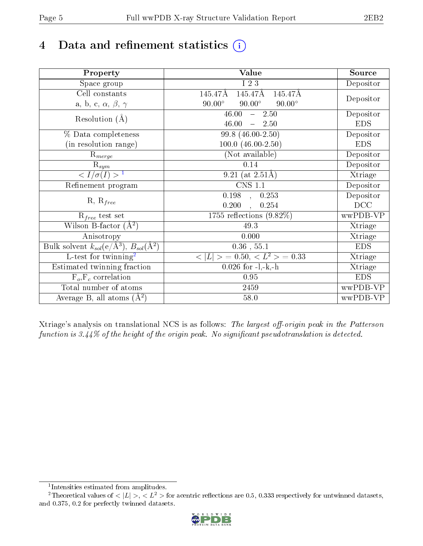# 4 Data and refinement statistics  $(i)$

| Property                                                             | Value                                           | Source     |
|----------------------------------------------------------------------|-------------------------------------------------|------------|
| Space group                                                          | I 2 3                                           | Depositor  |
| Cell constants                                                       | 145.47Å<br>145.47Å<br>145.47Å                   |            |
| a, b, c, $\alpha$ , $\beta$ , $\gamma$                               | $90.00^\circ$<br>$90.00^\circ$<br>$90.00^\circ$ | Depositor  |
| Resolution $(A)$                                                     | 46.00<br>$-2.50$                                | Depositor  |
|                                                                      | 46.00<br>$-2.50$                                | <b>EDS</b> |
| % Data completeness                                                  | 99.8 (46.00-2.50)                               | Depositor  |
| (in resolution range)                                                | $100.0 (46.00 - 2.50)$                          | <b>EDS</b> |
| $R_{merge}$                                                          | (Not available)                                 | Depositor  |
| $\mathrm{R}_{sym}$                                                   | 0.14                                            | Depositor  |
| $\langle I/\sigma(I) \rangle^{-1}$                                   | 9.21 (at $2.51\text{\AA}$ )                     | Xtriage    |
| Refinement program                                                   | $\overline{\text{CNS} 1.1}$                     | Depositor  |
|                                                                      | 0.198<br>0.253<br>$\mathbf{A}$                  | Depositor  |
| $R, R_{free}$                                                        | 0.200<br>0.254                                  | DCC        |
| $R_{free}$ test set                                                  | 1755 reflections $(9.82\%)$                     | wwPDB-VP   |
| Wilson B-factor $(A^2)$                                              | 49.3                                            | Xtriage    |
| Anisotropy                                                           | 0.000                                           | Xtriage    |
| Bulk solvent $k_{sol}(e/\mathring{A}^3)$ , $B_{sol}(\mathring{A}^2)$ | $0.36\,$ , $55.1\,$                             | <b>EDS</b> |
| L-test for twinning <sup>2</sup>                                     | $< L >$ = 0.50, $< L2$ > = 0.33                 | Xtriage    |
| Estimated twinning fraction                                          | $0.026$ for $-l,-k,-h$                          | Xtriage    |
| $F_o, F_c$ correlation                                               | 0.95                                            | <b>EDS</b> |
| Total number of atoms                                                | 2459                                            | wwPDB-VP   |
| Average B, all atoms $(A^2)$                                         | 58.0                                            | wwPDB-VP   |

Xtriage's analysis on translational NCS is as follows: The largest off-origin peak in the Patterson function is  $3.44\%$  of the height of the origin peak. No significant pseudotranslation is detected.

<sup>&</sup>lt;sup>2</sup>Theoretical values of  $\langle |L| \rangle$ ,  $\langle L^2 \rangle$  for acentric reflections are 0.5, 0.333 respectively for untwinned datasets, and 0.375, 0.2 for perfectly twinned datasets.



<span id="page-4-1"></span><span id="page-4-0"></span><sup>1</sup> Intensities estimated from amplitudes.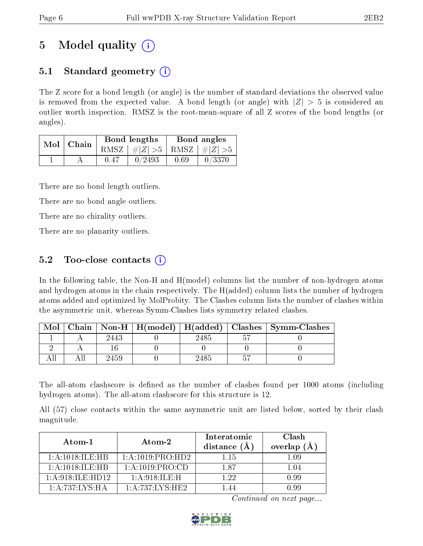## 5 Model quality  $(i)$

### 5.1 Standard geometry  $(i)$

The Z score for a bond length (or angle) is the number of standard deviations the observed value is removed from the expected value. A bond length (or angle) with  $|Z| > 5$  is considered an outlier worth inspection. RMSZ is the root-mean-square of all Z scores of the bond lengths (or angles).

| Mol | Chain | Bond lengths                    | Bond angles |        |  |
|-----|-------|---------------------------------|-------------|--------|--|
|     |       | RMSZ $ #Z  > 5$ RMSZ $ #Z  > 5$ |             |        |  |
|     |       | 0/2493                          | 0.69        | 0/3370 |  |

There are no bond length outliers.

There are no bond angle outliers.

There are no chirality outliers.

There are no planarity outliers.

### 5.2 Too-close contacts  $\overline{()}$

In the following table, the Non-H and H(model) columns list the number of non-hydrogen atoms and hydrogen atoms in the chain respectively. The H(added) column lists the number of hydrogen atoms added and optimized by MolProbity. The Clashes column lists the number of clashes within the asymmetric unit, whereas Symm-Clashes lists symmetry related clashes.

| Mol |      |      | Chain   Non-H   H(model)   H(added)   Clashes   Symm-Clashes |
|-----|------|------|--------------------------------------------------------------|
|     | 2443 | 2485 |                                                              |
|     |      |      |                                                              |
|     | 2459 | 2485 |                                                              |

The all-atom clashscore is defined as the number of clashes found per 1000 atoms (including hydrogen atoms). The all-atom clashscore for this structure is 12.

All (57) close contacts within the same asymmetric unit are listed below, sorted by their clash magnitude.

| Atom-1             | Atom-2             | Interatomic<br>distance $(A)$ | Clash<br>overlap $(A)$ |
|--------------------|--------------------|-------------------------------|------------------------|
| 1: A:1018: ILE: HB | 1:A:1019:PRO:HD2   | 1 15                          | LO9                    |
| 1: A:1018: ILE: HB | 1: A: 1019: PRO:CD | 187                           | 1.04                   |
| 1: A:918: ILE:HD12 | 1: A:918: ILE:H    | 122                           | 0.99                   |
| 1:A:737:LYS:HA     | 1: A:737:LYS:HE2   |                               | N dd                   |

Continued on next page...

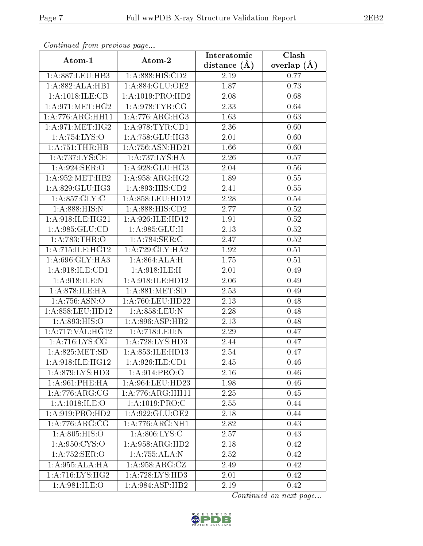| Commaca from previous page  |                                         | Interatomic       | Clash         |
|-----------------------------|-----------------------------------------|-------------------|---------------|
| Atom-1                      | Atom-2                                  | distance $(A)$    | overlap $(A)$ |
| 1:A:887:LEU:HB3             | 1:A:888:HIS:CD2                         | 2.19              | 0.77          |
| 1:A:882:ALA:HB1             | 1: A:884: GLU:OE2                       | 1.87              | 0.73          |
| 1: A:1018: ILE: CB          | 1:A:1019:PRO:HD2                        | 2.08              | 0.68          |
| 1: A:971:MET:HG2            | 1: A:978: TYR: CG                       | 2.33              | 0.64          |
| 1:A:776:ARG:HH11            | 1:A:776:ARG:HG3                         | 1.63              | 0.63          |
| 1: A:971:MET:HG2            | 1:A:978:TYR:CD1                         | 2.36              | 0.60          |
| 1:A:754:LYS:O               | 1:A:758:GLU:HG3                         | 2.01              | 0.60          |
| 1: A:751:THR:HB             | 1:A:756:ASN:HD21                        | 1.66              | 0.60          |
| 1:A:737:LYS:CE              | 1:A:737:LYS:HA                          | 2.26              | 0.57          |
| 1: A:924: SER:O             | 1: A:928: GLU:HG3                       | 2.04              | 0.56          |
| 1: A:952:MET:HB2            | 1: A:958:ARG:HG2                        | 1.89              | 0.55          |
| 1:A:829:GLU:HG3             | $1:\overline{A:893:\overline{HIS:CD2}}$ | 2.41              | 0.55          |
| 1:A:857:GLY:C               | 1:A:858:LEU:HD12                        | 2.28              | 0.54          |
| 1: A:888:HIS:N              | 1:A:888:HIS:CD2                         | 2.77              | 0.52          |
| 1:A:918:ILE:HG21            | 1:A:926:ILE:HD12                        | 1.91              | 0.52          |
| 1: A:985: GLU:CD            | 1:A:985:GLU:H                           | 2.13              | 0.52          |
| 1:A:783:THR:O               | 1:A:784:SER:C                           | 2.47              | $0.52\,$      |
| 1:A:715:ILE:HG12            | 1:A:729:GLY:HA2                         | 1.92              | 0.51          |
| 1:A:696:GLY:HA3             | 1: A:864:ALA:H                          | 1.75              | 0.51          |
| $1:$ A:918:ILE:CD1          | 1: A:918: ILE:H                         | 2.01              | 0.49          |
| 1:A:918:ILE:N               | 1:A:918:ILE:HD12                        | 2.06              | 0.49          |
| 1: A:878: ILE: HA           | 1: A:881: MET:SD                        | 2.53              | 0.49          |
| 1:A:756:ASN:O               | 1:A:760:LEU:HD22                        | 2.13              | 0.48          |
| 1:A:858:LEU:HD12            | 1:A:858:LEU:N                           | 2.28              | 0.48          |
| 1:A:893:HIS:O               | 1: A:896: ASP:HB2                       | 2.13              | 0.48          |
| 1:A:717:VAL:HG12            | 1:A:718:LEU:N                           | $\overline{2}.29$ | 0.47          |
| 1: A:716: LYS: CG           | 1: A:728: LYS: HD3                      | 2.44              | 0.47          |
| $1:$ A:825:MET:SD           | 1:A:853:ILE:HD13                        | 2.54              | 0.47          |
| 1: A:918: ILE: HG12         | 1:A:926:ILE:CD1                         | 2.45              | 0.46          |
| 1: A:879: LYS: HD3          | 1: A:914: PRO:O                         | 2.16              | 0.46          |
| 1: A:961:PHE:HA             | 1:A:964:LEU:HD23                        | 1.98              | 0.46          |
| $1:A:776:ARG:\overline{CG}$ | 1:A:776:ARG:HH11                        | 2.25              | 0.45          |
| 1: A: 1018: ILE: O          | 1: A: 1019: PRO: C                      | 2.55              | 0.44          |
| 1: A:919: PRO:HD2           | 1:A:922:GLU:OE2                         | 2.18              | 0.44          |
| 1: A:776: ARG: CG           | 1:A:776:ARG:NH1                         | 2.82              | 0.43          |
| 1:A:805:HIS:O               | 1: A:806: LYS:C                         | 2.57              | 0.43          |
| 1:A:950:CYS:O               | 1:A:958:ARG:HD2                         | 2.18              | 0.42          |
| 1:A:752:SER:O               | 1:A:755:ALA:N                           | 2.52              | 0.42          |
| 1:A:955:ALA:HA              | 1: A:958:ARG:CZ                         | 2.49              | 0.42          |
| 1:A:716:LYS:HG2             | 1:A:728:LYS:HD3                         | 2.01              | 0.42          |
| 1:A:981:ILE:O               | 1:A:984:ASP:HB2                         | 2.19              | 0.42          |

Continued from previous page.

Continued on next page...

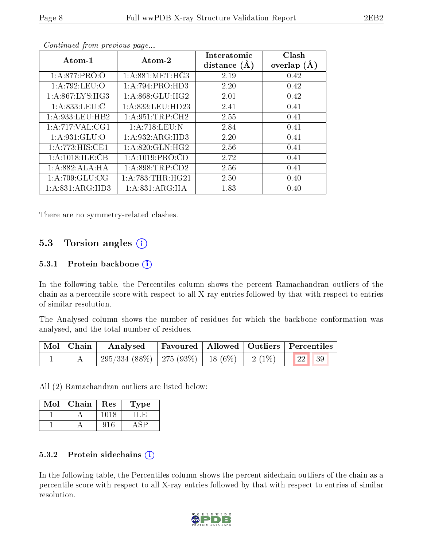| Atom-1             | Atom-2               | Interatomic<br>distance $(A)$ | Clash<br>overlap $(A)$ |
|--------------------|----------------------|-------------------------------|------------------------|
| 1: A:877: PRO:O    | 1: A:881: MET:HG3    | 2.19                          | 0.42                   |
| 1:A:792:LEU:O      | 1:A:794:PRO:HD3      | 2.20                          | 0.42                   |
| 1: A:867: LYS: HG3 | 1: A:868: GLU:HG2    | 2.01                          | 0.42                   |
| 1: A:833:LEU:C     | 1: A: 833: LEU: HD23 | 2.41                          | 0.41                   |
| 1:A:933:LEU:HB2    | 1: A:951:TRP:CH2     | 2.55                          | 0.41                   |
| 1: A:717: VAL:CG1  | 1:A:718:LEU:N        | 2.84                          | 0.41                   |
| 1: A:931: GLU:O    | 1:A:932:ARG:HD3      | 2.20                          | 0.41                   |
| 1:A:773:HIS:CE1    | 1: A:820: GLN: HG2   | 2.56                          | 0.41                   |
| 1:A:1018:ILE:CB    | 1: A: 1019: PRO:CD   | 2.72                          | 0.41                   |
| 1:A:882:ALA:HA     | 1: A:898:TRP:CD2     | 2.56                          | 0.41                   |
| 1:A:709:GLU:CG     | 1: A:783:THR:HG21    | 2.50                          | 0.40                   |
| 1: A:831: ARG:HD3  | 1:A:831:ARG:HA       | 1.83                          | 0.40                   |

Continued from previous page...

There are no symmetry-related clashes.

#### 5.3 Torsion angles  $(i)$

#### 5.3.1 Protein backbone  $(i)$

In the following table, the Percentiles column shows the percent Ramachandran outliers of the chain as a percentile score with respect to all X-ray entries followed by that with respect to entries of similar resolution.

The Analysed column shows the number of residues for which the backbone conformation was analysed, and the total number of residues.

| Mol   Chain | Analysed   Favoured   Allowed   Outliers   Percentiles |  |  |
|-------------|--------------------------------------------------------|--|--|
|             | 295/334 (88%)   275 (93%)   18 (6%)   2 (1%)   22   39 |  |  |

All (2) Ramachandran outliers are listed below:

| Mol | Chain | Res    | 1 ype |
|-----|-------|--------|-------|
|     |       | 10 L S |       |
|     |       |        |       |

#### 5.3.2 Protein sidechains  $(i)$

In the following table, the Percentiles column shows the percent sidechain outliers of the chain as a percentile score with respect to all X-ray entries followed by that with respect to entries of similar resolution.

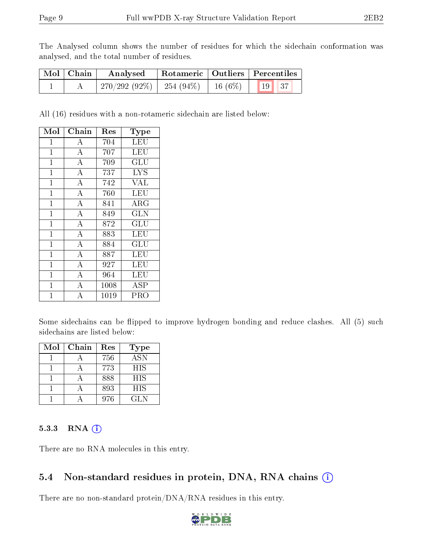The Analysed column shows the number of residues for which the sidechain conformation was analysed, and the total number of residues.

| Mol   Chain | Analysed        |                                      | Rotameric   Outliers   Percentiles |  |
|-------------|-----------------|--------------------------------------|------------------------------------|--|
|             | $270/292(92\%)$ | 254 (94%)   16 (6%)   $\blacksquare$ | $\vert$ 19 $\vert$ 37              |  |

All (16) residues with a non-rotameric sidechain are listed below:

| Mol            | ${\rm Chain}$      | $\operatorname{Res}% \left( \mathcal{N}\right) \equiv\operatorname*{Res}\left( \mathcal{N}\right)$ | Type                 |
|----------------|--------------------|----------------------------------------------------------------------------------------------------|----------------------|
| $\mathbf{1}$   | A                  | 704                                                                                                | LEU                  |
| $\mathbf 1$    | $\overline{\rm A}$ | 707                                                                                                | <b>LEU</b>           |
| $\mathbf{1}$   | $\bf{A}$           | 709                                                                                                | GLU                  |
| $\mathbf{1}$   | $\overline{\rm A}$ | 737                                                                                                | <b>LYS</b>           |
| $\mathbf{1}$   | $\overline{A}$     | 742                                                                                                | <b>VAL</b>           |
| $\overline{1}$ | $\overline{\rm A}$ | 760                                                                                                | LEU                  |
| $\mathbf 1$    | $\overline{\rm A}$ | 841                                                                                                | ${\rm ARG}$          |
| $\mathbf{1}$   | $\bf{A}$           | 849                                                                                                | <b>GLN</b>           |
| $\overline{1}$ | $\overline{\rm A}$ | 872                                                                                                | GLU                  |
| $\mathbf{1}$   | $\bf{A}$           | 883                                                                                                | LEU                  |
| $\overline{1}$ | $\overline{\rm A}$ | 884                                                                                                | $\operatorname{GLU}$ |
| $\mathbf 1$    | $\overline{\rm A}$ | 887                                                                                                | LEU                  |
| $\mathbf{1}$   | $\bf{A}$           | 927                                                                                                | LEU                  |
| $\overline{1}$ | $\overline{\rm A}$ | 964                                                                                                | LEU                  |
| $\mathbf{1}$   | $\bf{A}$           | 1008                                                                                               | <b>ASP</b>           |
| $\overline{1}$ | $\overline{\rm A}$ | 1019                                                                                               | PRO                  |

Some sidechains can be flipped to improve hydrogen bonding and reduce clashes. All (5) such sidechains are listed below:

| Mol | Chain | Res | <b>Type</b> |
|-----|-------|-----|-------------|
|     |       | 756 | <b>ASN</b>  |
|     |       | 773 | <b>HIS</b>  |
|     |       | 888 | <b>HIS</b>  |
|     |       | 893 | <b>HIS</b>  |
|     |       | 976 | <b>GLN</b>  |

#### 5.3.3 RNA [O](https://www.wwpdb.org/validation/2017/XrayValidationReportHelp#rna)i

There are no RNA molecules in this entry.

### 5.4 Non-standard residues in protein, DNA, RNA chains (i)

There are no non-standard protein/DNA/RNA residues in this entry.

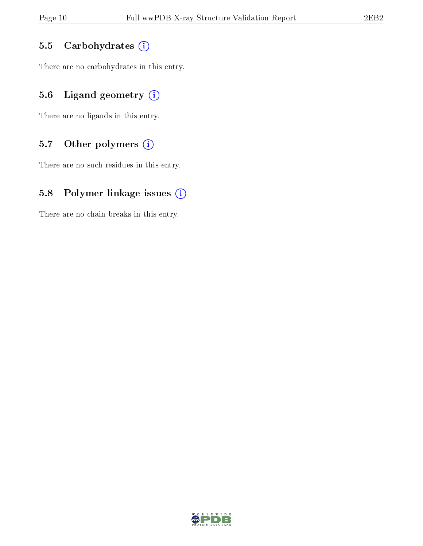#### 5.5 Carbohydrates (i)

There are no carbohydrates in this entry.

### 5.6 Ligand geometry  $(i)$

There are no ligands in this entry.

#### 5.7 [O](https://www.wwpdb.org/validation/2017/XrayValidationReportHelp#nonstandard_residues_and_ligands)ther polymers (i)

There are no such residues in this entry.

#### 5.8 Polymer linkage issues  $(i)$

There are no chain breaks in this entry.

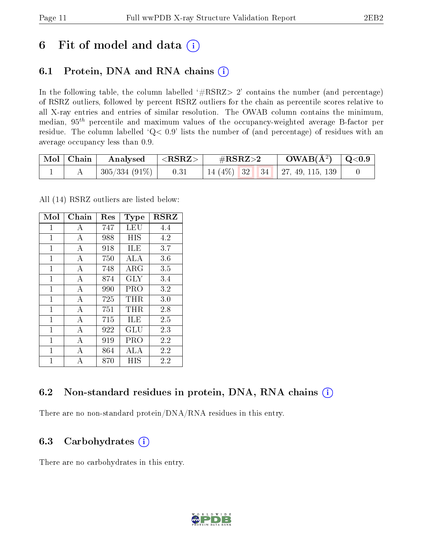## 6 Fit of model and data  $(i)$

### 6.1 Protein, DNA and RNA chains  $(i)$

In the following table, the column labelled  $#RSRZ> 2'$  contains the number (and percentage) of RSRZ outliers, followed by percent RSRZ outliers for the chain as percentile scores relative to all X-ray entries and entries of similar resolution. The OWAB column contains the minimum, median,  $95<sup>th</sup>$  percentile and maximum values of the occupancy-weighted average B-factor per residue. The column labelled ' $Q< 0.9$ ' lists the number of (and percentage) of residues with an average occupancy less than 0.9.

| Mol   Chain | Analysed                    | $  <$ RSRZ $>$ $ $ | $\rm \#RSRZ{>}2$ | $\text{OWAB}(\AA^2)$ $\mid$ Q<0.9 $\mid$ |  |
|-------------|-----------------------------|--------------------|------------------|------------------------------------------|--|
|             | $\mid$ 305/334 (91%) $\mid$ | 0.31               |                  | 14 (4%)   32   34   27, 49, 115, 139     |  |

All (14) RSRZ outliers are listed below:

| Mol          | Chain          | Res | Type        | <b>RSRZ</b> |
|--------------|----------------|-----|-------------|-------------|
| $\mathbf{1}$ | А              | 747 | LEU         | 4.4         |
| $\mathbf{1}$ | А              | 988 | HIS         | 4.2         |
| $\mathbf{1}$ | A              | 918 | ILE         | 3.7         |
| 1            | $\overline{A}$ | 750 | ALA         | 3.6         |
| $\mathbf{1}$ | $\mathbf{A}$   | 748 | ${\rm ARG}$ | 3.5         |
| 1            | $\mathbf{A}$   | 874 | GLY         | 3.4         |
| $\mathbf{1}$ | $\mathbf{A}$   | 990 | PRO         | 3.2         |
| $\mathbf{1}$ | $\overline{A}$ | 725 | THR         | 3.0         |
| $\mathbf{1}$ | A              | 751 | THR.        | 2.8         |
| $\mathbf{1}$ | $\mathbf{A}$   | 715 | ILE         | 2.5         |
| $\mathbf{1}$ | А              | 922 | GLU         | 2.3         |
| $\mathbf{1}$ | $\overline{A}$ | 919 | PRO         | 2.2         |
| 1            | А              | 864 | ALA         | 2.2         |
| 1            | А              | 870 | НIS         | 2.2         |

### 6.2 Non-standard residues in protein, DNA, RNA chains  $(i)$

There are no non-standard protein/DNA/RNA residues in this entry.

### 6.3 Carbohydrates (i)

There are no carbohydrates in this entry.